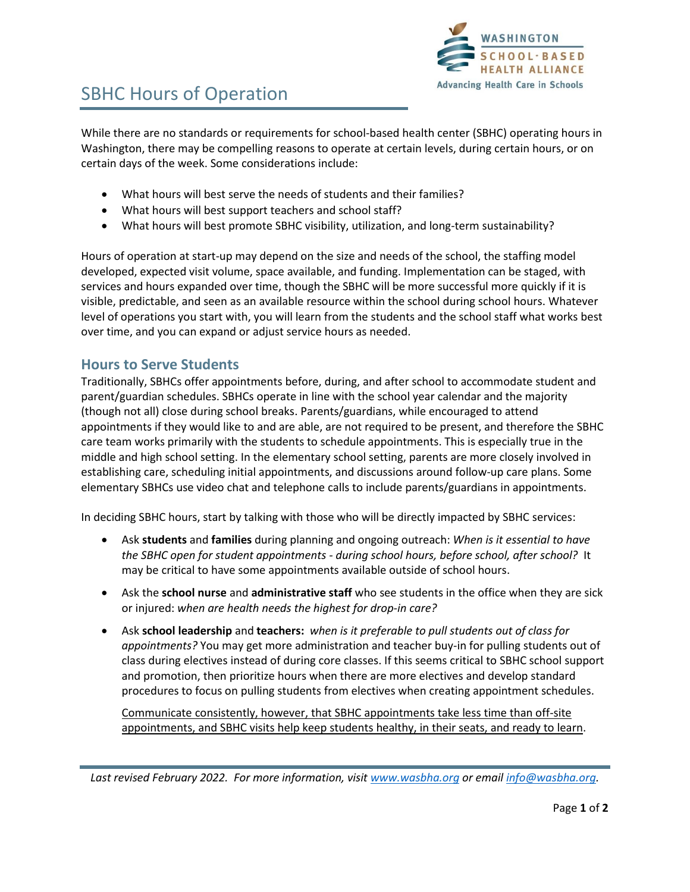

# SBHC Hours of Operation

While there are no standards or requirements for school-based health center (SBHC) operating hours in Washington, there may be compelling reasons to operate at certain levels, during certain hours, or on certain days of the week. Some considerations include:

- What hours will best serve the needs of students and their families?
- What hours will best support teachers and school staff?
- What hours will best promote SBHC visibility, utilization, and long-term sustainability?

Hours of operation at start-up may depend on the size and needs of the school, the staffing model developed, expected visit volume, space available, and funding. Implementation can be staged, with services and hours expanded over time, though the SBHC will be more successful more quickly if it is visible, predictable, and seen as an available resource within the school during school hours. Whatever level of operations you start with, you will learn from the students and the school staff what works best over time, and you can expand or adjust service hours as needed.

#### **Hours to Serve Students**

Traditionally, SBHCs offer appointments before, during, and after school to accommodate student and parent/guardian schedules. SBHCs operate in line with the school year calendar and the majority (though not all) close during school breaks. Parents/guardians, while encouraged to attend appointments if they would like to and are able, are not required to be present, and therefore the SBHC care team works primarily with the students to schedule appointments. This is especially true in the middle and high school setting. In the elementary school setting, parents are more closely involved in establishing care, scheduling initial appointments, and discussions around follow-up care plans. Some elementary SBHCs use video chat and telephone calls to include parents/guardians in appointments.

In deciding SBHC hours, start by talking with those who will be directly impacted by SBHC services:

- Ask **students** and **families** during planning and ongoing outreach: *When is it essential to have the SBHC open for student appointments - during school hours, before school, after school?* It may be critical to have some appointments available outside of school hours.
- Ask the **school nurse** and **administrative staff** who see students in the office when they are sick or injured: *when are health needs the highest for drop-in care?*
- Ask **school leadership** and **teachers:** *when is it preferable to pull students out of class for appointments?* You may get more administration and teacher buy-in for pulling students out of class during electives instead of during core classes. If this seems critical to SBHC school support and promotion, then prioritize hours when there are more electives and develop standard procedures to focus on pulling students from electives when creating appointment schedules.

Communicate consistently, however, that SBHC appointments take less time than off-site appointments, and SBHC visits help keep students healthy, in their seats, and ready to learn.

*Last revised February 2022. For more information, visi[t www.wasbha.org](http://www.wasbha.org/) or email [info@wasbha.org.](mailto:info@wasbha.org)*